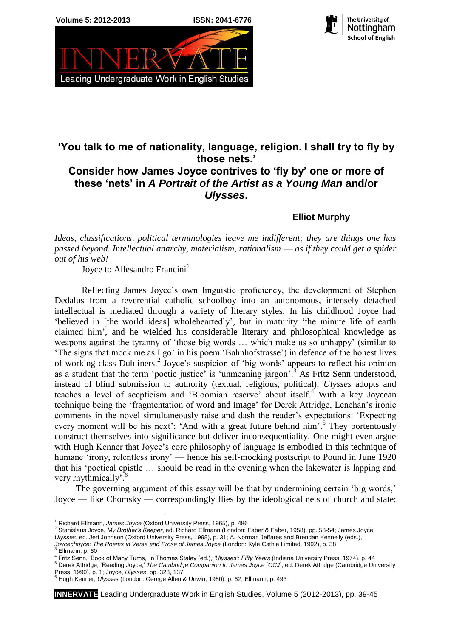



The University of Nottingham **School of English**

## **'You talk to me of nationality, language, religion. I shall try to fly by those nets.' Consider how James Joyce contrives to 'fly by' one or more of these 'nets' in** *A Portrait of the Artist as a Young Man* **and/or**  *Ulysses***.**

**Elliot Murphy**

*Ideas, classifications, political terminologies leave me indifferent; they are things one has passed beyond. Intellectual anarchy, materialism, rationalism* — *as if they could get a spider out of his web!*

Joyce to Allesandro Francini<sup>1</sup>

Reflecting James Joyce's own linguistic proficiency, the development of Stephen Dedalus from a reverential catholic schoolboy into an autonomous, intensely detached intellectual is mediated through a variety of literary styles. In his childhood Joyce had 'believed in [the world ideas] wholeheartedly', but in maturity 'the minute life of earth claimed him', and he wielded his considerable literary and philosophical knowledge as weapons against the tyranny of 'those big words … which make us so unhappy' (similar to 'The signs that mock me as I go' in his poem 'Bahnhofstrasse') in defence of the honest lives of working-class Dubliners.<sup>2</sup> Joyce's suspicion of 'big words' appears to reflect his opinion as a student that the term 'poetic justice' is 'unmeaning jargon'.<sup>3</sup> As Fritz Senn understood, instead of blind submission to authority (textual, religious, political), *Ulysses* adopts and teaches a level of scepticism and 'Bloomian reserve' about itself.<sup>4</sup> With a key Joycean technique being the 'fragmentation of word and image' for Derek Attridge, Lenehan's ironic comments in the novel simultaneously raise and dash the reader's expectations: 'Expecting every moment will be his next'; 'And with a great future behind him'.<sup>5</sup> They portentously construct themselves into significance but deliver inconsequentiality. One might even argue with Hugh Kenner that Joyce's core philosophy of language is embodied in this technique of humane 'irony, relentless irony' — hence his self-mocking postscript to Pound in June 1920 that his 'poetical epistle … should be read in the evening when the lakewater is lapping and very rhythmically'.<sup>6</sup>

The governing argument of this essay will be that by undermining certain 'big words,' Joyce — like Chomsky — correspondingly flies by the ideological nets of church and state:

<sup>&</sup>lt;u>.</u> <sup>1</sup> Richard Ellmann, *James Joyce* (Oxford University Press, 1965), p. 486

<sup>2</sup> Stanislaus Joyce, *My Brother's Keeper*, ed. Richard Ellmann (London: Faber & Faber, 1958), pp. 53-54; James Joyce,

*Ulysses*, ed. Jeri Johnson (Oxford University Press, 1998), p. 31; A. Norman Jeffares and Brendan Kennelly (eds.),

*Joycechoyce: The Poems in Verse and Prose of James Joyce* (London: Kyle Cathie Limited, 1992), p. 38<br><sup>3</sup> Ellmann, p. 60

<sup>4</sup> Fritz Senn, 'Book of Many Turns,' in Thomas Staley (ed.), *'Ulysses': Fifty Years* (Indiana University Press, 1974), p. 44 <sup>5</sup> Derek Attridge, 'Reading Joyce,' *The Cambridge Companion to James Joyce* [*CCJ*], ed. Derek Attridge (Cambridge University

Press, 1990), p. 1; Joyce, *Ulysses*, pp. 323, 137

<sup>6</sup> Hugh Kenner, *Ulysses* (London: George Allen & Unwin, 1980), p. 62; Ellmann, p. 493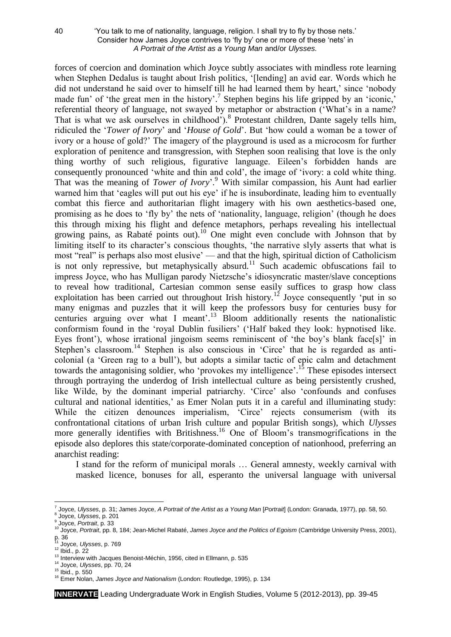## 40 'You talk to me of nationality, language, religion. I shall try to fly by those nets.' Consider how James Joyce contrives to 'fly by' one or more of these 'nets' in *A Portrait of the Artist as a Young Man* and/or *Ulysses.*

forces of coercion and domination which Joyce subtly associates with mindless rote learning when Stephen Dedalus is taught about Irish politics, '[lending] an avid ear. Words which he did not understand he said over to himself till he had learned them by heart,' since 'nobody made fun' of 'the great men in the history'.<sup>7</sup> Stephen begins his life gripped by an 'iconic,' referential theory of language, not swayed by metaphor or abstraction ('What's in a name? That is what we ask ourselves in childhood').<sup>8</sup> Protestant children, Dante sagely tells him, ridiculed the '*Tower of Ivory*' and '*House of Gold*'. But 'how could a woman be a tower of ivory or a house of gold?' The imagery of the playground is used as a microcosm for further exploration of penitence and transgression, with Stephen soon realising that love is the only thing worthy of such religious, figurative language. Eileen's forbidden hands are consequently pronounced 'white and thin and cold', the image of 'ivory: a cold white thing. That was the meaning of *Tower of Ivory*'. <sup>9</sup> With similar compassion, his Aunt had earlier warned him that 'eagles will put out his eye' if he is insubordinate, leading him to eventually combat this fierce and authoritarian flight imagery with his own aesthetics-based one, promising as he does to 'fly by' the nets of 'nationality, language, religion' (though he does this through mixing his flight and defence metaphors, perhaps revealing his intellectual growing pains, as Rabaté points out).<sup>10</sup> One might even conclude with Johnson that by limiting itself to its character's conscious thoughts, 'the narrative slyly asserts that what is most "real" is perhaps also most elusive' — and that the high, spiritual diction of Catholicism is not only repressive, but metaphysically absurd.<sup>11</sup> Such academic obfuscations fail to impress Joyce, who has Mulligan parody Nietzsche's idiosyncratic master/slave conceptions to reveal how traditional, Cartesian common sense easily suffices to grasp how class exploitation has been carried out throughout Irish history.<sup>12</sup> Joyce consequently 'put in so many enigmas and puzzles that it will keep the professors busy for centuries busy for centuries arguing over what I meant'. <sup>13</sup> Bloom additionally resents the nationalistic conformism found in the 'royal Dublin fusiliers' ('Half baked they look: hypnotised like. Eyes front'), whose irrational jingoism seems reminiscent of 'the boy's blank face[s]' in Stephen's classroom.<sup>14</sup> Stephen is also conscious in 'Circe' that he is regarded as anticolonial (a 'Green rag to a bull'), but adopts a similar tactic of epic calm and detachment towards the antagonising soldier, who 'provokes my intelligence'.<sup>15</sup> These episodes intersect through portraying the underdog of Irish intellectual culture as being persistently crushed, like Wilde, by the dominant imperial patriarchy. 'Circe' also 'confounds and confuses cultural and national identities,' as Emer Nolan puts it in a careful and illuminating study: While the citizen denounces imperialism, 'Circe' rejects consumerism (with its confrontational citations of urban Irish culture and popular British songs), which *Ulysses* more generally identifies with Britishness.<sup>16</sup> One of Bloom's transmogrifications in the episode also deplores this state/corporate-dominated conception of nationhood, preferring an anarchist reading:

I stand for the reform of municipal morals … General amnesty, weekly carnival with masked licence, bonuses for all, esperanto the universal language with universal

<sup>1</sup> <sup>7</sup> Joyce, *Ulysses*, p. 31; James Joyce, *A Portrait of the Artist as a Young Man* [*Portrait*] (London: Granada, 1977), pp. 58, 50. 8 Joyce, *Ulysses*, p. 201

<sup>&</sup>lt;sup>9</sup> Joyce, *Portrait*, p. 33<br><sup>10</sup> Joyce, *Portrait*, pp. 8, 184; Jean-Michel Rabaté, *James Joyce and the Politics of Egoism* (Cambridge University Press, 2001), p. 36 <sup>11</sup> Joyce, *Ulysses*, p. 769

<sup>12</sup> Ibid., p. 22

<sup>&</sup>lt;sup>13</sup> Interview with Jacques Benoist-Méchin, 1956, cited in Ellmann, p. 535

<sup>14</sup> Joyce, *Ulysses*, pp. 70, 24

<sup>15</sup> Ibid., p. 550

<sup>16</sup> Emer Nolan, *James Joyce and Nationalism* (London: Routledge, 1995), p. 134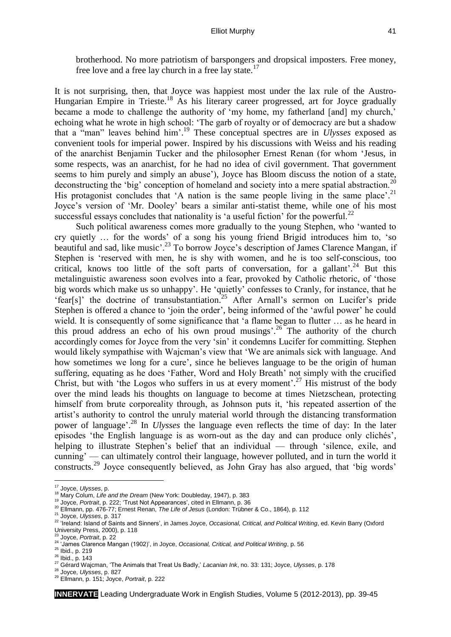brotherhood. No more patriotism of barspongers and dropsical imposters. Free money, free love and a free lay church in a free lay state.<sup>17</sup>

It is not surprising, then, that Joyce was happiest most under the lax rule of the Austro-Hungarian Empire in Trieste.<sup>18</sup> As his literary career progressed, art for Joyce gradually became a mode to challenge the authority of 'my home, my fatherland [and] my church,' echoing what he wrote in high school: 'The garb of royalty or of democracy are but a shadow that a "man" leaves behind him'. <sup>19</sup> These conceptual spectres are in *Ulysses* exposed as convenient tools for imperial power. Inspired by his discussions with Weiss and his reading of the anarchist Benjamin Tucker and the philosopher Ernest Renan (for whom 'Jesus, in some respects, was an anarchist, for he had no idea of civil government. That government seems to him purely and simply an abuse'), Joyce has Bloom discuss the notion of a state, deconstructing the 'big' conception of homeland and society into a mere spatial abstraction.<sup>20</sup> His protagonist concludes that 'A nation is the same people living in the same place'.<sup>21</sup> Joyce's version of 'Mr. Dooley' bears a similar anti-statist theme, while one of his most successful essays concludes that nationality is 'a useful fiction' for the powerful. $^{22}$ 

Such political awareness comes more gradually to the young Stephen, who 'wanted to cry quietly … for the words' of a song his young friend Brigid introduces him to, 'so beautiful and sad, like music<sup>'23</sup> To borrow Joyce's description of James Clarence Mangan, if Stephen is 'reserved with men, he is shy with women, and he is too self-conscious, too critical, knows too little of the soft parts of conversation, for a gallant'.<sup>24</sup> But this metalinguistic awareness soon evolves into a fear, provoked by Catholic rhetoric, of 'those big words which make us so unhappy'. He 'quietly' confesses to Cranly, for instance, that he 'fear[s]' the doctrine of transubstantiation.<sup>25</sup> After Arnall's sermon on Lucifer's pride Stephen is offered a chance to 'join the order', being informed of the 'awful power' he could wield. It is consequently of some significance that 'a flame began to flutter … as he heard in this proud address an echo of his own proud musings'.<sup>26</sup> The authority of the church accordingly comes for Joyce from the very 'sin' it condemns Lucifer for committing. Stephen would likely sympathise with Wajcman's view that 'We are animals sick with language. And how sometimes we long for a cure', since he believes language to be the origin of human suffering, equating as he does 'Father, Word and Holy Breath' not simply with the crucified Christ, but with 'the Logos who suffers in us at every moment'.<sup>27</sup> His mistrust of the body over the mind leads his thoughts on language to become at times Nietzschean, protecting himself from brute corporeality through, as Johnson puts it, 'his repeated assertion of the artist's authority to control the unruly material world through the distancing transformation power of language'. <sup>28</sup> In *Ulysses* the language even reflects the time of day: In the later episodes 'the English language is as worn-out as the day and can produce only clichés', helping to illustrate Stephen's belief that an individual — through 'silence, exile, and cunning' — can ultimately control their language, however polluted, and in turn the world it constructs.<sup>29</sup> Joyce consequently believed, as John Gray has also argued, that 'big words'

<u>.</u>

<sup>20</sup> Ellmann, pp. 476-77; Ernest Renan, *The Life of Jesus* (London: Trübner & Co., 1864), p. 112

<sup>17</sup> Joyce, *Ulysses*, p.

<sup>18</sup> Mary Colum, *Life and the Dream* (New York: Doubleday, 1947), p. 383

<sup>19</sup> Joyce, *Portrait*, p. 222; 'Trust Not Appearances', cited in Ellmann, p. 36

<sup>21</sup> Joyce, *Ulysses*, p. 317

<sup>22</sup> 'Ireland: Island of Saints and Sinners', in James Joyce, *Occasional, Critical, and Political Writing*, ed. Kevin Barry (Oxford University Press, 2000), p. 118

<sup>23</sup> Joyce, *Portrait*, p. 22

<sup>24</sup> 'James Clarence Mangan (1902)', in Joyce, *Occasional, Critical, and Political Writing*, p. 56

<sup>25</sup> Ibid., p. 219

<sup>26</sup> Ibid., p. 143

<sup>27</sup> Gérard Wajcman, 'The Animals that Treat Us Badly,' *Lacanian Ink*, no. 33: 131; Joyce, *Ulysses*, p. 178

<sup>28</sup> Joyce, *Ulysses*, p. 827 <sup>29</sup> Ellmann, p. 151; Joyce, *Portrait*, p. 222

**INNERVATE** Leading Undergraduate Work in English Studies, Volume 5 (2012-2013), pp. 39-45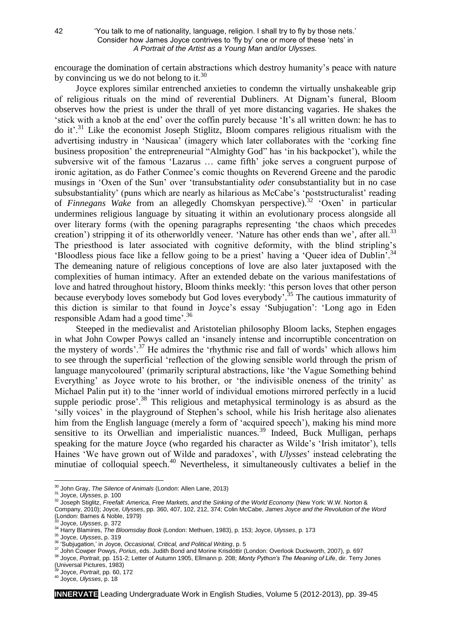encourage the domination of certain abstractions which destroy humanity's peace with nature by convincing us we do not belong to it.<sup>30</sup>

Joyce explores similar entrenched anxieties to condemn the virtually unshakeable grip of religious rituals on the mind of reverential Dubliners. At Dignam's funeral, Bloom observes how the priest is under the thrall of yet more distancing vagaries. He shakes the 'stick with a knob at the end' over the coffin purely because 'It's all written down: he has to do it<sup>'.31</sup> Like the economist Joseph Stiglitz, Bloom compares religious ritualism with the advertising industry in 'Nausicaa' (imagery which later collaborates with the 'corking fine business proposition' the entrepreneurial "Almighty God" has 'in his backpocket'), while the subversive wit of the famous 'Lazarus … came fifth' joke serves a congruent purpose of ironic agitation, as do Father Conmee's comic thoughts on Reverend Greene and the parodic musings in 'Oxen of the Sun' over 'transubstantiality *oder* consubstantiality but in no case subsubstantiality' (puns which are nearly as hilarious as McCabe's 'poststructuralist' reading of *Finnegans Wake* from an allegedly Chomskyan perspective).<sup>32</sup> 'Oxen' in particular undermines religious language by situating it within an evolutionary process alongside all over literary forms (with the opening paragraphs representing 'the chaos which precedes creation') stripping it of its otherworldly veneer. 'Nature has other ends than we', after all.<sup>33</sup> The priesthood is later associated with cognitive deformity, with the blind stripling's 'Bloodless pious face like a fellow going to be a priest' having a 'Queer idea of Dublin'. 34 The demeaning nature of religious conceptions of love are also later juxtaposed with the complexities of human intimacy. After an extended debate on the various manifestations of love and hatred throughout history, Bloom thinks meekly: 'this person loves that other person because everybody loves somebody but God loves everybody<sup>2,35</sup> The cautious immaturity of this diction is similar to that found in Joyce's essay 'Subjugation': 'Long ago in Eden responsible Adam had a good time'.<sup>36</sup>

Steeped in the medievalist and Aristotelian philosophy Bloom lacks, Stephen engages in what John Cowper Powys called an 'insanely intense and incorruptible concentration on the mystery of words'.<sup>37</sup> He admires the 'rhythmic rise and fall of words' which allows him to see through the superficial 'reflection of the glowing sensible world through the prism of language manycoloured' (primarily scriptural abstractions, like 'the Vague Something behind Everything' as Joyce wrote to his brother, or 'the indivisible oneness of the trinity' as Michael Palin put it) to the 'inner world of individual emotions mirrored perfectly in a lucid supple periodic prose'.<sup>38</sup> This religious and metaphysical terminology is as absurd as the 'silly voices' in the playground of Stephen's school, while his Irish heritage also alienates him from the English language (merely a form of 'acquired speech'), making his mind more sensitive to its Orwellian and imperialistic nuances.<sup>39</sup> Indeed, Buck Mulligan, perhaps speaking for the mature Joyce (who regarded his character as Wilde's 'Irish imitator'), tells Haines 'We have grown out of Wilde and paradoxes', with *Ulysses*' instead celebrating the minutiae of colloquial speech.<sup>40</sup> Nevertheless, it simultaneously cultivates a belief in the

<sup>35</sup> Joyce, *Ulysses*, p. 319

**INNERVATE** Leading Undergraduate Work in English Studies, Volume 5 (2012-2013), pp. 39-45

<sup>&</sup>lt;u>.</u> <sup>30</sup> John Gray, *The Silence of Animals* (London: Allen Lane, 2013)

<sup>31</sup> Joyce, *Ulysses*, p. 100

<sup>32</sup> Joseph Stiglitz, *Freefall: America, Free Markets, and the Sinking of the World Economy* (New York: W.W. Norton &

Company, 2010); Joyce, *Ulysses*, pp. 360, 407, 102, 212, 374; Colin McCabe, *James Joyce and the Revolution of the Word* (London: Barnes & Noble, 1979)

<sup>33</sup> Joyce, *Ulysses*, p. 372

<sup>34</sup> Harry Blamires, *The Bloomsday Book* (London: Methuen, 1983), p. 153; Joyce, *Ulysses*, p. 173

<sup>36</sup> 'Subjugation,' in Joyce, *Occasional, Critical, and Political Writing*, p. 5

<sup>37</sup> John Cowper Powys, *Porius*, eds. Judith Bond and Morine Krisdóttir (London: Overlook Duckworth, 2007), p. 697

<sup>38</sup> Joyce, *Portrait*, pp. 151-2; Letter of Autumn 1905, Ellmann p. 208; *Monty Python's The Meaning of Life*, dir. Terry Jones (Universal Pictures, 1983)

<sup>39</sup> Joyce, *Portrait*, pp. 60, 172

<sup>40</sup> Joyce, *Ulysses*, p. 18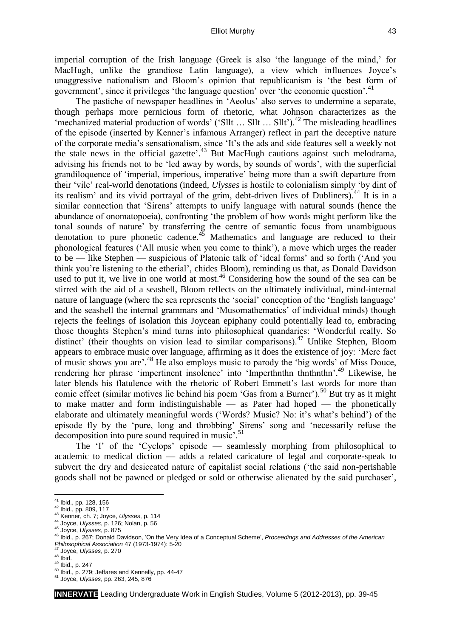imperial corruption of the Irish language (Greek is also 'the language of the mind,' for MacHugh, unlike the grandiose Latin language), a view which influences Joyce's unaggressive nationalism and Bloom's opinion that republicanism is 'the best form of government', since it privileges 'the language question' over 'the economic question'. 41

The pastiche of newspaper headlines in 'Aeolus' also serves to undermine a separate, though perhaps more pernicious form of rhetoric, what Johnson characterizes as the 'mechanized material production of words' ('Sllt  $\ldots$  Sllt  $\ldots$  Sllt').<sup>42</sup> The misleading headlines of the episode (inserted by Kenner's infamous Arranger) reflect in part the deceptive nature of the corporate media's sensationalism, since 'It's the ads and side features sell a weekly not the stale news in the official gazette'. $43$  But MacHugh cautions against such melodrama, advising his friends not to be 'led away by words, by sounds of words', with the superficial grandiloquence of 'imperial, imperious, imperative' being more than a swift departure from their 'vile' real-world denotations (indeed, *Ulysses* is hostile to colonialism simply 'by dint of its realism' and its vivid portraval of the grim, debt-driven lives of Dubliners).<sup>44</sup> It is in a similar connection that 'Sirens' attempts to unify language with natural sounds (hence the abundance of onomatopoeia), confronting 'the problem of how words might perform like the tonal sounds of nature' by transferring the centre of semantic focus from unambiguous denotation to pure phonetic cadence.<sup>45</sup> Mathematics and language are reduced to their phonological features ('All music when you come to think'), a move which urges the reader to be — like Stephen — suspicious of Platonic talk of 'ideal forms' and so forth ('And you think you're listening to the etherial', chides Bloom), reminding us that, as Donald Davidson used to put it, we live in one world at most.<sup>46</sup> Considering how the sound of the sea can be stirred with the aid of a seashell, Bloom reflects on the ultimately individual, mind-internal nature of language (where the sea represents the 'social' conception of the 'English language' and the seashell the internal grammars and 'Musomathematics' of individual minds) though rejects the feelings of isolation this Joycean epiphany could potentially lead to, embracing those thoughts Stephen's mind turns into philosophical quandaries: 'Wonderful really. So distinct' (their thoughts on vision lead to similar comparisons).<sup>47</sup> Unlike Stephen, Bloom appears to embrace music over language, affirming as it does the existence of joy: 'Mere fact of music shows you are'. <sup>48</sup> He also employs music to parody the 'big words' of Miss Douce, rendering her phrase 'impertinent insolence' into 'Imperthnthn thnthnthn'. <sup>49</sup> Likewise, he later blends his flatulence with the rhetoric of Robert Emmett's last words for more than comic effect (similar motives lie behind his poem 'Gas from a Burner').<sup>50</sup> But try as it might to make matter and form indistinguishable — as Pater had hoped — the phonetically elaborate and ultimately meaningful words ('Words? Music? No: it's what's behind') of the episode fly by the 'pure, long and throbbing' Sirens' song and 'necessarily refuse the decomposition into pure sound required in music'. 51

The 'I' of the 'Cyclops' episode — seamlessly morphing from philosophical to academic to medical diction — adds a related caricature of legal and corporate-speak to subvert the dry and desiccated nature of capitalist social relations ('the said non-perishable goods shall not be pawned or pledged or sold or otherwise alienated by the said purchaser',

<u>.</u>

**INNERVATE** Leading Undergraduate Work in English Studies, Volume 5 (2012-2013), pp. 39-45

<sup>&</sup>lt;sup>41</sup> Ibid., pp. 128, 156

<sup>42</sup> Ibid., pp. 809, 117

<sup>43</sup> Kenner, ch. 7; Joyce, *Ulysses*, p. 114

<sup>44</sup> Joyce, *Ulysses*, p. 126; Nolan, p. 56

<sup>45</sup> Joyce, *Ulysses*, p. 875

<sup>46</sup> Ibid., p. 267; Donald Davidson, 'On the Very Idea of a Conceptual Scheme', *Proceedings and Addresses of the American Philosophical Association* 47 (1973-1974): 5-20

<sup>47</sup> Joyce, *Ulysses*, p. 270

 $48$  Ibid.

<sup>49</sup> Ibid., p. 247

<sup>50</sup> Ibid., p. 279; Jeffares and Kennelly, pp. 44-47

<sup>51</sup> Joyce, *Ulysses*, pp. 263, 245, 876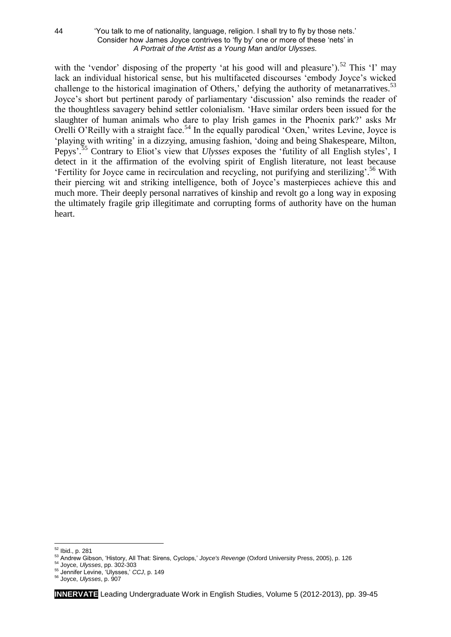## 44 'You talk to me of nationality, language, religion. I shall try to fly by those nets.' Consider how James Joyce contrives to 'fly by' one or more of these 'nets' in *A Portrait of the Artist as a Young Man* and/or *Ulysses.*

with the 'vendor' disposing of the property 'at his good will and pleasure').<sup>52</sup> This 'I' may lack an individual historical sense, but his multifaceted discourses 'embody Joyce's wicked challenge to the historical imagination of Others,' defying the authority of metanarratives.<sup>53</sup> Joyce's short but pertinent parody of parliamentary 'discussion' also reminds the reader of the thoughtless savagery behind settler colonialism. 'Have similar orders been issued for the slaughter of human animals who dare to play Irish games in the Phoenix park?' asks Mr Orelli O'Reilly with a straight face.<sup>54</sup> In the equally parodical 'Oxen,' writes Levine, Joyce is 'playing with writing' in a dizzying, amusing fashion, 'doing and being Shakespeare, Milton, Pepys'. <sup>55</sup> Contrary to Eliot's view that *Ulysses* exposes the 'futility of all English styles', I detect in it the affirmation of the evolving spirit of English literature, not least because 'Fertility for Joyce came in recirculation and recycling, not purifying and sterilizing'. <sup>56</sup> With their piercing wit and striking intelligence, both of Joyce's masterpieces achieve this and much more. Their deeply personal narratives of kinship and revolt go a long way in exposing the ultimately fragile grip illegitimate and corrupting forms of authority have on the human heart.

1

<sup>&</sup>lt;sup>52</sup> Ibid., p. 281

<sup>53</sup> Andrew Gibson, 'History, All That: Sirens, Cyclops,' *Joyce's Revenge* (Oxford University Press, 2005), p. 126

<sup>54</sup> Joyce, *Ulysses*, pp. 302-303

<sup>55</sup> Jennifer Levine, 'Ulysses,' *CCJ*, p. 149

<sup>56</sup> Joyce, *Ulysses*, p. 907